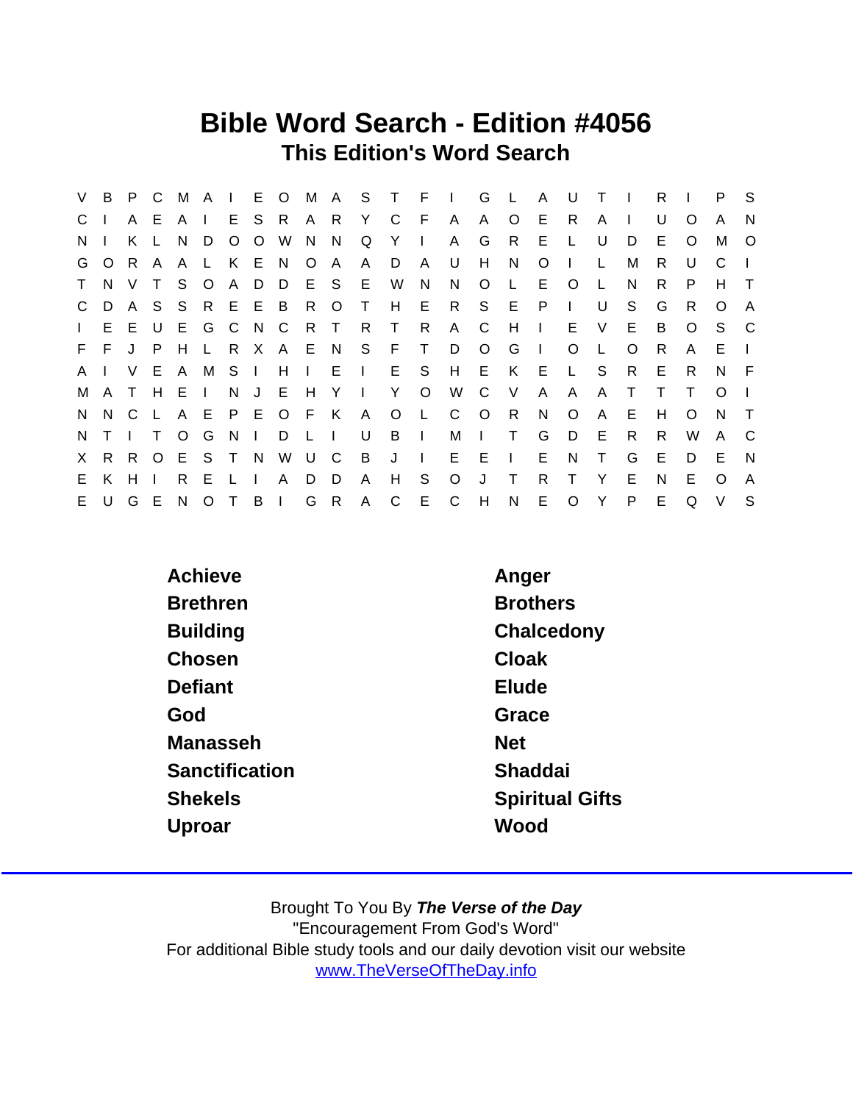## Bible Word Search - Edition #4056 This Edition's Word Search

| V            | B.      |     | P C    |              | MA I           |         |              | E O          |              |                |        | M A S T F    |              | $\sim 1$ .     | G            | $\mathsf{L}$ | $\mathsf{A}$ | U            | $\top$       |          | R  |          | P.           | - S          |
|--------------|---------|-----|--------|--------------|----------------|---------|--------------|--------------|--------------|----------------|--------|--------------|--------------|----------------|--------------|--------------|--------------|--------------|--------------|----------|----|----------|--------------|--------------|
| $\mathbf{C}$ |         |     | A E    | AI           |                |         | E S          | - R          |              | A R            | Y      | C            | - F          | A              | A            | $\circ$      | E            | R.           | A            |          | U  | O        | A            | N            |
| N.           |         | K.  |        | N.           | D              | $\circ$ | $\circ$      | W            | N.           | N              | Q      | Y            | $\Box$       | A              | G            | R.           | E            | $\mathbf{L}$ | U            | D        | E. | O        | M            | $\circ$      |
|              | G O     | R A |        | A            | L.             |         | KEN          |              | O            | A              | A      | D            | A            | U              | H            | N.           | O            |              | L            | м        | R. | U        | C            |              |
| T            | N       | V   | $\top$ | S.           | $\circ$        |         | A D          | - D          |              | E S            | E.     | W            | N            | N              | $\circ$      | $\mathbf{L}$ | E            | $\circ$      | $\mathsf{L}$ | N        | R. | P        | н            | $\top$       |
|              | C D     | A S |        |              | S R E E B      |         |              |              | R            | $\circ$        | $\top$ | H            |              | E R            | S            | E P          |              | $\mathbf{L}$ | U            | S        | G  | R        | O            | A            |
| $\mathbf{L}$ | E       |     | E U    | E            |                |         | G C N C      |              | R T          |                | R.     | $\mathsf{T}$ | R.           | $\mathsf{A}$   | - C          | H            | $\mathbf{L}$ | E.           | V            | E        | B  | $\circ$  | S.           | - C          |
|              | $F - F$ | J P |        | H            |                | L R X   |              | A E N        |              |                | S F    |              | T.           | D              | $\circ$      | G            | $\Box$       | O            | $\mathsf{L}$ | $\Omega$ | R  | A        | E.           |              |
| A            |         | V E |        | $\mathsf{A}$ |                | M S I   |              | H            |              |                |        | $I$ E $I$ E  | S.           | H              | E K          |              | - E          | $\mathsf{L}$ | <sub>S</sub> | R.       | E  | R        | N            | - F          |
| M            | A T     |     | H      | E            | $\blacksquare$ | N.      | J E          |              | H            | Y              | Ι.     | Y.           | $\circ$      | W              | C.           | V            | A            | A            | A            |          |    |          | $\Omega$     |              |
|              | N N C L |     |        |              | A E P E O      |         |              |              | - F          | K              | A      | $\circ$      | $\mathsf{L}$ | $\mathsf{C}$   | $\circ$      | R            | N            | $\circ$      | $\mathsf{A}$ | Е        | H. | $\Omega$ | <sub>N</sub> | $\top$       |
| N.           |         |     |        | $\circ$      | G              | N.      | $\mathbf{L}$ | D            | $\mathsf{L}$ | $\blacksquare$ | U      | B            | $\Box$       | M              | $\mathbf{I}$ | $\top$       | G            | D            | E            | R.       | R. | W        | A            | - C          |
| X            | R       |     | R O    | E.           | S T            |         | - N          | W            | U C          |                | B      | J            | $\sim 1$ .   | $E$ $E$        |              | $\mathbf{L}$ | E            | N            | $\top$       | G        | E  | D        | E            | <sup>N</sup> |
| E.           | K       | H   |        | R.           | E.             |         |              | A            | D            | D              | A      | H            | S            | $\circ$        | J            | $\top$       | R            | т            | Y            | Е        | N  | F        | $\Omega$     | A            |
| E.           | $\cup$  | G E |        | N.           | $\circ$        |         | B            | $\mathbf{L}$ | G            | R              |        | A C          | E            | $\overline{C}$ | H            | N            | E.           | $\circ$      | Y            | P        | E  | Q        | $\vee$       | -S           |

| Achieve         | Anger                  |
|-----------------|------------------------|
| <b>Brethren</b> | <b>Brothers</b>        |
| <b>Building</b> | Chalcedony             |
| Chosen          | Cloak                  |
| Defiant         | Elude                  |
| God             | Grace                  |
| Manasseh        | <b>Net</b>             |
| Sanctification  | Shaddai                |
| <b>Shekels</b>  | <b>Spiritual Gifts</b> |
| Uproar          | Wood                   |
|                 |                        |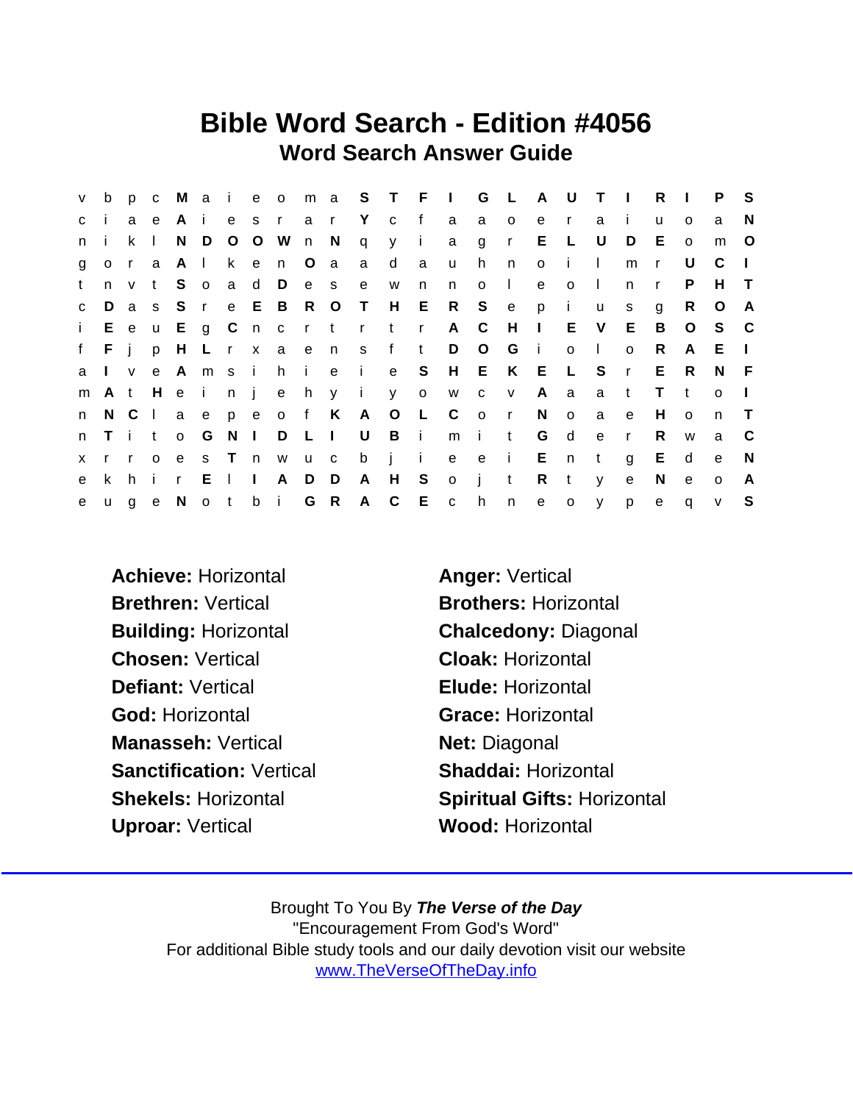## Bible Word Search - Edition #4056 Word Search Answer Guide

| V.           | b              |     |              |       |                |                |              |                       |       |           |        |                   |     | p c M a i e o m a S T F I G L A U |                         |              |              |              | T <sub>1</sub> |              | R            | $\sim 1$ .   | P S      |              |
|--------------|----------------|-----|--------------|-------|----------------|----------------|--------------|-----------------------|-------|-----------|--------|-------------------|-----|-----------------------------------|-------------------------|--------------|--------------|--------------|----------------|--------------|--------------|--------------|----------|--------------|
| $\mathbf{C}$ |                |     | a e          | Ai    |                |                |              | es rar                |       |           |        | Y c f             |     | a                                 | a                       | $\circ$      | e            | $\mathsf{r}$ | a              | j.           | u            | $\Omega$     | a        | N            |
| n.           |                | k   | $\mathbf{L}$ | N     |                |                |              | D O O W n N           |       |           |        | qyi               |     |                                   | a gr                    |              | E            | $\mathsf{L}$ | U              | D            | E            | $\Omega$     | m        | $\circ$      |
|              |                |     | gora         | AI    |                |                |              | k e n O a             |       |           | a d    |                   | a a | $\mathsf{u}$                      | h                       | n            | $\circ$      | $\mathbf{I}$ | $\mathbf{I}$   | m            | $\mathsf{r}$ | U            | C        | $\Box$       |
| t            | n              |     | v t          | S.    | $\overline{O}$ | $\overline{a}$ |              |                       |       | d D e s e |        | W                 | n   | n                                 | $\circ$                 | $\mathbf{L}$ | $\mathbf{e}$ | $\circ$      | $\Box$         | n.           | $\mathsf{r}$ | P            | H.       | $\top$       |
| $\mathbf{C}$ | D              |     |              |       |                |                |              |                       |       |           |        |                   |     | as S r e E B R O T H E R S e p    |                         |              |              | $\mathbf{i}$ | <b>u</b>       | s            | g            | R.           | $\circ$  | A            |
|              |                |     |              |       | i E e u E g C  |                |              |                       |       |           |        | n crtrtr          |     | A C                               |                         | H            | $\sim 1$ .   |              | E V            | E.           | B            | $\circ$      | - S      | $\mathbf{C}$ |
|              |                |     |              |       |                |                |              | f F j p H L r x a e n |       |           |        | s f t             |     |                                   | D O                     | G            | $\sim 1$ .   | $\circ$      | $\mathbf{L}$   | $\Omega$     | R            | A            | $E \cup$ |              |
| a            | $\mathsf{l}$ v |     | e            |       |                |                |              |                       |       |           |        |                   |     | Amsihie i e SHEKEL                |                         |              |              |              | S              | $\mathsf{r}$ | E            | R.           | N.       | - F          |
| m            |                |     |              |       |                |                |              |                       |       |           |        | At Heinjehy i y o |     |                                   | W C V                   |              | A            | $\alpha$     | a              | $-t$         | T.           | $\mathbf{t}$ | $\Omega$ | $\Box$       |
| n            |                | N C |              |       |                |                |              |                       |       |           |        | laepeof K A O L C |     |                                   | $\overline{\mathbf{0}}$ | $\mathsf{r}$ | N            | $\circ$      | a              | $\mathbf{e}$ | H            | $\Omega$     | n        | $\top$       |
|              |                |     |              |       |                |                |              | n Tito G N I D L I    |       |           | $\cup$ | B i               |     | m i                               |                         | t            | G            | d d          | e              | $\mathsf{r}$ | R.           | W            | a        | - C          |
|              | $x + 1$        |     |              | $o$ e |                |                |              |                       |       |           |        | s T n w u c b j i |     |                                   |                         |              | e e i En     |              | t              | $\mathbf{g}$ | E.           | d            | e        | <sup>N</sup> |
| e            | k              | h.  |              | ir E  |                | $\sim$ 1.1     | $\mathbf{1}$ |                       | A D D |           |        | A H S             |     | $o$ $i$                           |                         | $-t$         | $\mathsf{R}$ | $-t$         | V              | e            | N            | e            | $\Omega$ | A            |
| e            | $\mathsf{u}$   |     |              |       |                |                |              |                       |       |           |        |                   |     | ge Notbi GRACE ch                 |                         |              | n e o        |              | $y -$          | p            | e            | $\mathsf{q}$ | V        | S            |

- Achieve: Horizontal **Anger: Vertical** Brethren: Vertical Brothers: Horizontal Chosen: Vertical Chosen: Vertical Cloak: Horizontal Defiant: Vertical **Elude: Horizontal** God: Horizontal Grace: Horizontal Manasseh: Vertical Net: Diagonal Sanctification: Vertical Shaddai: Horizontal Uproar: Vertical Wood: Horizontal
- Building: Horizontal Chalcedony: Diagonal Shekels: Horizontal Shekels: Horizontal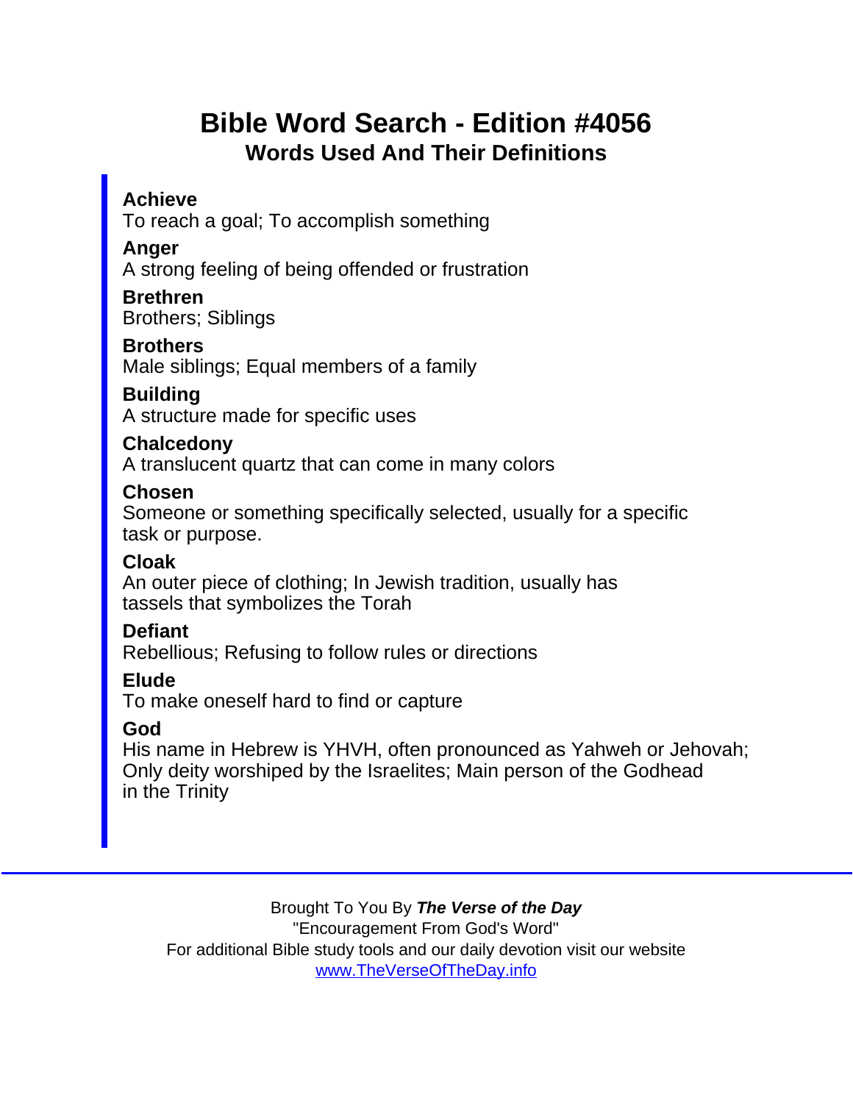# Bible Word Search - Edition #4056 Words Used And Their Definitions

Achieve

To reach a goal; To accomplish something

Anger

A strong feeling of being offended or frustration

Brethren Brothers; Siblings

**Brothers** 

Male siblings; Equal members of a family

**Building** 

A structure made for specific uses

**Chalcedony** 

A translucent quartz that can come in many colors

Chosen

Someone or something specifically selected, usually for a specific task or purpose.

Cloak

An outer piece of clothing; In Jewish tradition, usually has tassels that symbolizes the Torah

**Defiant** 

Rebellious; Refusing to follow rules or directions

Elude

To make oneself hard to find or capture

God

His name in Hebrew is YHVH, often pronounced as Yahweh or Jehovah; Only deity worshiped by the Israelites; Main person of the Godhead in the Trinity